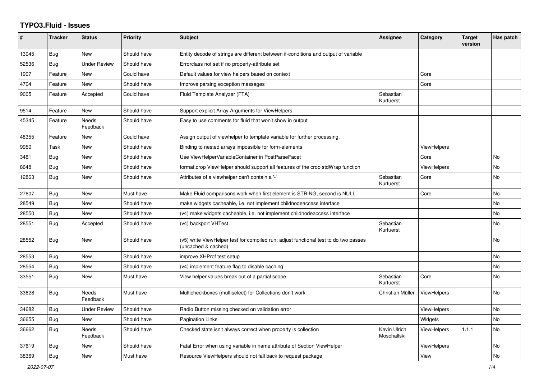## **TYPO3.Fluid - Issues**

| #     | <b>Tracker</b> | <b>Status</b>            | <b>Priority</b> | <b>Subject</b>                                                                                              | Assignee                    | Category           | <b>Target</b><br>version | Has patch      |
|-------|----------------|--------------------------|-----------------|-------------------------------------------------------------------------------------------------------------|-----------------------------|--------------------|--------------------------|----------------|
| 13045 | Bug            | New                      | Should have     | Entity decode of strings are different between if-conditions and output of variable                         |                             |                    |                          |                |
| 52536 | Bug            | <b>Under Review</b>      | Should have     | Errorclass not set if no property-attribute set                                                             |                             |                    |                          |                |
| 1907  | Feature        | <b>New</b>               | Could have      | Default values for view helpers based on context                                                            |                             | Core               |                          |                |
| 4704  | Feature        | New                      | Should have     | Improve parsing exception messages                                                                          |                             | Core               |                          |                |
| 9005  | Feature        | Accepted                 | Could have      | Fluid Template Analyzer (FTA)                                                                               | Sebastian<br>Kurfuerst      |                    |                          |                |
| 9514  | Feature        | <b>New</b>               | Should have     | Support explicit Array Arguments for ViewHelpers                                                            |                             |                    |                          |                |
| 45345 | Feature        | <b>Needs</b><br>Feedback | Should have     | Easy to use comments for fluid that won't show in output                                                    |                             |                    |                          |                |
| 48355 | Feature        | New                      | Could have      | Assign output of viewhelper to template variable for further processing.                                    |                             |                    |                          |                |
| 9950  | Task           | <b>New</b>               | Should have     | Binding to nested arrays impossible for form-elements                                                       |                             | <b>ViewHelpers</b> |                          |                |
| 3481  | Bug            | New                      | Should have     | Use ViewHelperVariableContainer in PostParseFacet                                                           |                             | Core               |                          | No.            |
| 8648  | Bug            | New                      | Should have     | format.crop ViewHelper should support all features of the crop stdWrap function                             |                             | <b>ViewHelpers</b> |                          | No             |
| 12863 | Bug            | <b>New</b>               | Should have     | Attributes of a viewhelper can't contain a '-'                                                              | Sebastian<br>Kurfuerst      | Core               |                          | No             |
| 27607 | Bug            | New                      | Must have       | Make Fluid comparisons work when first element is STRING, second is NULL.                                   |                             | Core               |                          | No             |
| 28549 | Bug            | New                      | Should have     | make widgets cacheable, i.e. not implement childnodeaccess interface                                        |                             |                    |                          | No             |
| 28550 | Bug            | New                      | Should have     | (v4) make widgets cacheable, i.e. not implement childnodeaccess interface                                   |                             |                    |                          | No             |
| 28551 | Bug            | Accepted                 | Should have     | (v4) backport VHTest                                                                                        | Sebastian<br>Kurfuerst      |                    |                          | <b>No</b>      |
| 28552 | <b>Bug</b>     | New                      | Should have     | (v5) write ViewHelper test for compiled run; adjust functional test to do two passes<br>(uncached & cached) |                             |                    |                          | N <sub>o</sub> |
| 28553 | Bug            | New                      | Should have     | improve XHProf test setup                                                                                   |                             |                    |                          | <b>No</b>      |
| 28554 | Bug            | New                      | Should have     | (v4) implement feature flag to disable caching                                                              |                             |                    |                          | No             |
| 33551 | Bug            | New                      | Must have       | View helper values break out of a partial scope                                                             | Sebastian<br>Kurfuerst      | Core               |                          | No             |
| 33628 | <b>Bug</b>     | Needs<br>Feedback        | Must have       | Multicheckboxes (multiselect) for Collections don't work                                                    | Christian Müller            | <b>ViewHelpers</b> |                          | <b>No</b>      |
| 34682 | Bug            | Under Review             | Should have     | Radio Button missing checked on validation error                                                            |                             | <b>ViewHelpers</b> |                          | <b>No</b>      |
| 36655 | Bug            | New                      | Should have     | <b>Pagination Links</b>                                                                                     |                             | Widgets            |                          | No             |
| 36662 | Bug            | <b>Needs</b><br>Feedback | Should have     | Checked state isn't always correct when property is collection                                              | Kevin Ulrich<br>Moschallski | <b>ViewHelpers</b> | 1.1.1                    | <b>No</b>      |
| 37619 | <b>Bug</b>     | New                      | Should have     | Fatal Error when using variable in name attribute of Section ViewHelper                                     |                             | ViewHelpers        |                          | <b>No</b>      |
| 38369 | Bug            | <b>New</b>               | Must have       | Resource ViewHelpers should not fall back to request package                                                |                             | View               |                          | No             |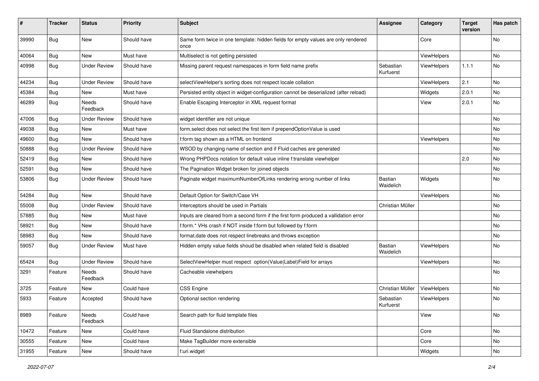| ∦     | <b>Tracker</b> | <b>Status</b>       | <b>Priority</b> | <b>Subject</b>                                                                            | <b>Assignee</b>        | Category    | <b>Target</b><br>version | Has patch |
|-------|----------------|---------------------|-----------------|-------------------------------------------------------------------------------------------|------------------------|-------------|--------------------------|-----------|
| 39990 | Bug            | New                 | Should have     | Same form twice in one template: hidden fields for empty values are only rendered<br>once |                        | Core        |                          | No        |
| 40064 | Bug            | New                 | Must have       | Multiselect is not getting persisted                                                      |                        | ViewHelpers |                          | No        |
| 40998 | Bug            | <b>Under Review</b> | Should have     | Missing parent request namespaces in form field name prefix                               | Sebastian<br>Kurfuerst | ViewHelpers | 1.1.1                    | No        |
| 44234 | Bug            | <b>Under Review</b> | Should have     | selectViewHelper's sorting does not respect locale collation                              |                        | ViewHelpers | 2.1                      | No        |
| 45384 | Bug            | New                 | Must have       | Persisted entity object in widget-configuration cannot be deserialized (after reload)     |                        | Widgets     | 2.0.1                    | No        |
| 46289 | Bug            | Needs<br>Feedback   | Should have     | Enable Escaping Interceptor in XML request format                                         |                        | View        | 2.0.1                    | No        |
| 47006 | Bug            | <b>Under Review</b> | Should have     | widget identifier are not unique                                                          |                        |             |                          | No.       |
| 49038 | Bug            | New                 | Must have       | form.select does not select the first item if prependOptionValue is used                  |                        |             |                          | No        |
| 49600 | Bug            | New                 | Should have     | f:form tag shown as a HTML on frontend                                                    |                        | ViewHelpers |                          | No        |
| 50888 | <b>Bug</b>     | <b>Under Review</b> | Should have     | WSOD by changing name of section and if Fluid caches are generated                        |                        |             |                          | No        |
| 52419 | Bug            | <b>New</b>          | Should have     | Wrong PHPDocs notation for default value inline f:translate viewhelper                    |                        |             | 2.0                      | No        |
| 52591 | Bug            | New                 | Should have     | The Pagination Widget broken for joined objects                                           |                        |             |                          | No        |
| 53806 | Bug            | <b>Under Review</b> | Should have     | Paginate widget maximumNumberOfLinks rendering wrong number of links                      | Bastian<br>Waidelich   | Widgets     |                          | No        |
| 54284 | Bug            | <b>New</b>          | Should have     | Default Option for Switch/Case VH                                                         |                        | ViewHelpers |                          | No.       |
| 55008 | Bug            | <b>Under Review</b> | Should have     | Interceptors should be used in Partials                                                   | Christian Müller       |             |                          | No        |
| 57885 | Bug            | New                 | Must have       | Inputs are cleared from a second form if the first form produced a vallidation error      |                        |             |                          | No.       |
| 58921 | Bug            | New                 | Should have     | f:form.* VHs crash if NOT inside f:form but followed by f:form                            |                        |             |                          | No        |
| 58983 | Bug            | <b>New</b>          | Should have     | format.date does not respect linebreaks and throws exception                              |                        |             |                          | No.       |
| 59057 | <b>Bug</b>     | <b>Under Review</b> | Must have       | Hidden empty value fields shoud be disabled when related field is disabled                | Bastian<br>Waidelich   | ViewHelpers |                          | No        |
| 65424 | Bug            | <b>Under Review</b> | Should have     | SelectViewHelper must respect option(Value Label)Field for arrays                         |                        | ViewHelpers |                          | No        |
| 3291  | Feature        | Needs<br>Feedback   | Should have     | Cacheable viewhelpers                                                                     |                        |             |                          | No        |
| 3725  | Feature        | New                 | Could have      | <b>CSS Engine</b>                                                                         | Christian Müller       | ViewHelpers |                          | <b>No</b> |
| 5933  | Feature        | Accepted            | Should have     | Optional section rendering                                                                | Sebastian<br>Kurfuerst | ViewHelpers |                          | No        |
| 8989  | Feature        | Needs<br>Feedback   | Could have      | Search path for fluid template files                                                      |                        | View        |                          | No        |
| 10472 | Feature        | New                 | Could have      | Fluid Standalone distribution                                                             |                        | Core        |                          | No        |
| 30555 | Feature        | New                 | Could have      | Make TagBuilder more extensible                                                           |                        | Core        |                          | No        |
| 31955 | Feature        | New                 | Should have     | f:uri.widget                                                                              |                        | Widgets     |                          | No        |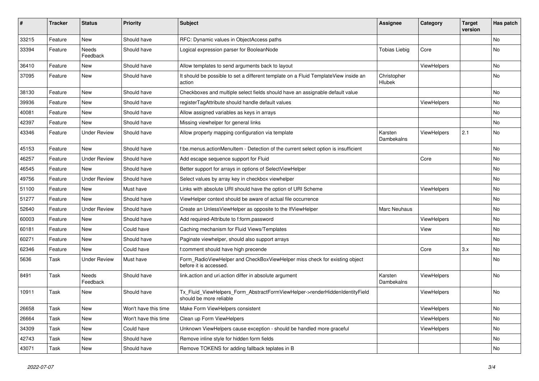| #     | <b>Tracker</b> | <b>Status</b>       | <b>Priority</b>      | <b>Subject</b>                                                                                         | Assignee              | Category    | <b>Target</b><br>version | Has patch |
|-------|----------------|---------------------|----------------------|--------------------------------------------------------------------------------------------------------|-----------------------|-------------|--------------------------|-----------|
| 33215 | Feature        | New                 | Should have          | RFC: Dynamic values in ObjectAccess paths                                                              |                       |             |                          | <b>No</b> |
| 33394 | Feature        | Needs<br>Feedback   | Should have          | Logical expression parser for BooleanNode                                                              | <b>Tobias Liebig</b>  | Core        |                          | <b>No</b> |
| 36410 | Feature        | New                 | Should have          | Allow templates to send arguments back to layout                                                       |                       | ViewHelpers |                          | No        |
| 37095 | Feature        | New                 | Should have          | It should be possible to set a different template on a Fluid TemplateView inside an<br>action          | Christopher<br>Hlubek |             |                          | <b>No</b> |
| 38130 | Feature        | New                 | Should have          | Checkboxes and multiple select fields should have an assignable default value                          |                       |             |                          | No        |
| 39936 | Feature        | New                 | Should have          | registerTagAttribute should handle default values                                                      |                       | ViewHelpers |                          | No        |
| 40081 | Feature        | New                 | Should have          | Allow assigned variables as keys in arrays                                                             |                       |             |                          | <b>No</b> |
| 42397 | Feature        | New                 | Should have          | Missing viewhelper for general links                                                                   |                       |             |                          | No        |
| 43346 | Feature        | <b>Under Review</b> | Should have          | Allow property mapping configuration via template                                                      | Karsten<br>Dambekalns | ViewHelpers | 2.1                      | No        |
| 45153 | Feature        | New                 | Should have          | f:be.menus.actionMenuItem - Detection of the current select option is insufficient                     |                       |             |                          | <b>No</b> |
| 46257 | Feature        | <b>Under Review</b> | Should have          | Add escape sequence support for Fluid                                                                  |                       | Core        |                          | No        |
| 46545 | Feature        | New                 | Should have          | Better support for arrays in options of SelectViewHelper                                               |                       |             |                          | No        |
| 49756 | Feature        | <b>Under Review</b> | Should have          | Select values by array key in checkbox viewhelper                                                      |                       |             |                          | No        |
| 51100 | Feature        | <b>New</b>          | Must have            | Links with absolute URI should have the option of URI Scheme                                           |                       | ViewHelpers |                          | No        |
| 51277 | Feature        | New                 | Should have          | ViewHelper context should be aware of actual file occurrence                                           |                       |             |                          | No        |
| 52640 | Feature        | <b>Under Review</b> | Should have          | Create an UnlessViewHelper as opposite to the IfViewHelper                                             | Marc Neuhaus          |             |                          | <b>No</b> |
| 60003 | Feature        | New                 | Should have          | Add required-Attribute to f:form.password                                                              |                       | ViewHelpers |                          | No        |
| 60181 | Feature        | New                 | Could have           | Caching mechanism for Fluid Views/Templates                                                            |                       | View        |                          | No        |
| 60271 | Feature        | New                 | Should have          | Paginate viewhelper, should also support arrays                                                        |                       |             |                          | <b>No</b> |
| 62346 | Feature        | New                 | Could have           | f:comment should have high precende                                                                    |                       | Core        | 3.x                      | No        |
| 5636  | Task           | <b>Under Review</b> | Must have            | Form_RadioViewHelper and CheckBoxViewHelper miss check for existing object<br>before it is accessed.   |                       |             |                          | <b>No</b> |
| 8491  | Task           | Needs<br>Feedback   | Should have          | link.action and uri.action differ in absolute argument                                                 | Karsten<br>Dambekalns | ViewHelpers |                          | <b>No</b> |
| 10911 | Task           | New                 | Should have          | Tx_Fluid_ViewHelpers_Form_AbstractFormViewHelper->renderHiddenIdentityField<br>should be more reliable |                       | ViewHelpers |                          | No        |
| 26658 | Task           | New                 | Won't have this time | Make Form ViewHelpers consistent                                                                       |                       | ViewHelpers |                          | No        |
| 26664 | Task           | New                 | Won't have this time | Clean up Form ViewHelpers                                                                              |                       | ViewHelpers |                          | No        |
| 34309 | Task           | New                 | Could have           | Unknown ViewHelpers cause exception - should be handled more graceful                                  |                       | ViewHelpers |                          | No        |
| 42743 | Task           | New                 | Should have          | Remove inline style for hidden form fields                                                             |                       |             |                          | No        |
| 43071 | Task           | New                 | Should have          | Remove TOKENS for adding fallback teplates in B                                                        |                       |             |                          | No        |